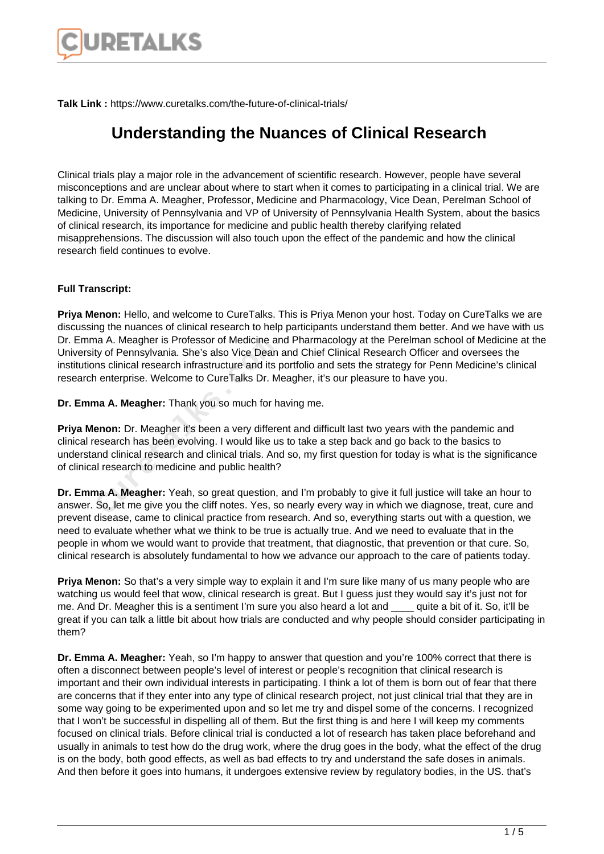

**Talk Link :** https://www.curetalks.com/the-future-of-clinical-trials/

## **Understanding the Nuances of Clinical Research**

Clinical trials play a major role in the advancement of scientific research. However, people have several misconceptions and are unclear about where to start when it comes to participating in a clinical trial. We are talking to Dr. Emma A. Meagher, Professor, Medicine and Pharmacology, Vice Dean, Perelman School of Medicine, University of Pennsylvania and VP of University of Pennsylvania Health System, about the basics of clinical research, its importance for medicine and public health thereby clarifying related misapprehensions. The discussion will also touch upon the effect of the pandemic and how the clinical research field continues to evolve.

## **Full Transcript:**

**Priya Menon:** Hello, and welcome to CureTalks. This is Priya Menon your host. Today on CureTalks we are discussing the nuances of clinical research to help participants understand them better. And we have with us Dr. Emma A. Meagher is Professor of Medicine and Pharmacology at the Perelman school of Medicine at the University of Pennsylvania. She's also Vice Dean and Chief Clinical Research Officer and oversees the institutions clinical research infrastructure and its portfolio and sets the strategy for Penn Medicine's clinical research enterprise. Welcome to CureTalks Dr. Meagher, it's our pleasure to have you.

**Dr. Emma A. Meagher:** Thank you so much for having me.

**Priya Menon:** Dr. Meagher it's been a very different and difficult last two years with the pandemic and clinical research has been evolving. I would like us to take a step back and go back to the basics to understand clinical research and clinical trials. And so, my first question for today is what is the significance of clinical research to medicine and public health? a A. Meagner is Protessor or Medicine and ty of Pennsylvania. She's also Vice Dean<br>ms clinical research infrastructure and its premier interprise. Welcome to CureTalks Dr. M<br>na **A. Meagher:** Thank you so much for h<br>**Proon:** 

**Dr. Emma A. Meagher:** Yeah, so great question, and I'm probably to give it full justice will take an hour to answer. So, let me give you the cliff notes. Yes, so nearly every way in which we diagnose, treat, cure and prevent disease, came to clinical practice from research. And so, everything starts out with a question, we need to evaluate whether what we think to be true is actually true. And we need to evaluate that in the people in whom we would want to provide that treatment, that diagnostic, that prevention or that cure. So, clinical research is absolutely fundamental to how we advance our approach to the care of patients today.

**Priya Menon:** So that's a very simple way to explain it and I'm sure like many of us many people who are watching us would feel that wow, clinical research is great. But I guess just they would say it's just not for me. And Dr. Meagher this is a sentiment I'm sure you also heard a lot and quite a bit of it. So, it'll be great if you can talk a little bit about how trials are conducted and why people should consider participating in them?

**Dr. Emma A. Meagher:** Yeah, so I'm happy to answer that question and you're 100% correct that there is often a disconnect between people's level of interest or people's recognition that clinical research is important and their own individual interests in participating. I think a lot of them is born out of fear that there are concerns that if they enter into any type of clinical research project, not just clinical trial that they are in some way going to be experimented upon and so let me try and dispel some of the concerns. I recognized that I won't be successful in dispelling all of them. But the first thing is and here I will keep my comments focused on clinical trials. Before clinical trial is conducted a lot of research has taken place beforehand and usually in animals to test how do the drug work, where the drug goes in the body, what the effect of the drug is on the body, both good effects, as well as bad effects to try and understand the safe doses in animals. And then before it goes into humans, it undergoes extensive review by regulatory bodies, in the US. that's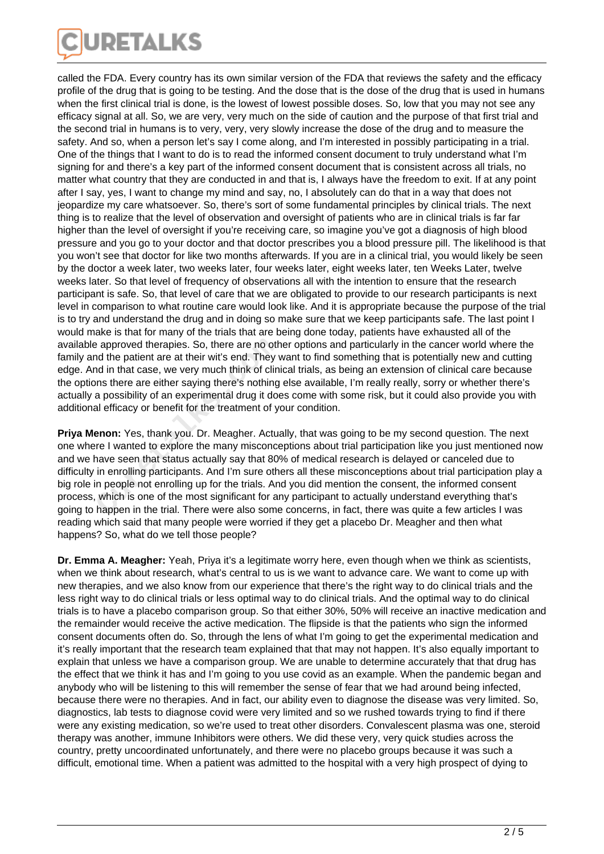

called the FDA. Every country has its own similar version of the FDA that reviews the safety and the efficacy profile of the drug that is going to be testing. And the dose that is the dose of the drug that is used in humans when the first clinical trial is done, is the lowest of lowest possible doses. So, low that you may not see any efficacy signal at all. So, we are very, very much on the side of caution and the purpose of that first trial and the second trial in humans is to very, very, very slowly increase the dose of the drug and to measure the safety. And so, when a person let's say I come along, and I'm interested in possibly participating in a trial. One of the things that I want to do is to read the informed consent document to truly understand what I'm signing for and there's a key part of the informed consent document that is consistent across all trials, no matter what country that they are conducted in and that is, I always have the freedom to exit. If at any point after I say, yes, I want to change my mind and say, no, I absolutely can do that in a way that does not jeopardize my care whatsoever. So, there's sort of some fundamental principles by clinical trials. The next thing is to realize that the level of observation and oversight of patients who are in clinical trials is far far higher than the level of oversight if you're receiving care, so imagine you've got a diagnosis of high blood pressure and you go to your doctor and that doctor prescribes you a blood pressure pill. The likelihood is that you won't see that doctor for like two months afterwards. If you are in a clinical trial, you would likely be seen by the doctor a week later, two weeks later, four weeks later, eight weeks later, ten Weeks Later, twelve weeks later. So that level of frequency of observations all with the intention to ensure that the research participant is safe. So, that level of care that we are obligated to provide to our research participants is next level in comparison to what routine care would look like. And it is appropriate because the purpose of the trial is to try and understand the drug and in doing so make sure that we keep participants safe. The last point I would make is that for many of the trials that are being done today, patients have exhausted all of the available approved therapies. So, there are no other options and particularly in the cancer world where the family and the patient are at their wit's end. They want to find something that is potentially new and cutting edge. And in that case, we very much think of clinical trials, as being an extension of clinical care because the options there are either saying there's nothing else available, I'm really really, sorry or whether there's actually a possibility of an experimental drug it does come with some risk, but it could also provide you with additional efficacy or benefit for the treatment of your condition.

**Priya Menon:** Yes, thank you. Dr. Meagher. Actually, that was going to be my second question. The next one where I wanted to explore the many misconceptions about trial participation like you just mentioned now and we have seen that status actually say that 80% of medical research is delayed or canceled due to difficulty in enrolling participants. And I'm sure others all these misconceptions about trial participation play a big role in people not enrolling up for the trials. And you did mention the consent, the informed consent process, which is one of the most significant for any participant to actually understand everything that's going to happen in the trial. There were also some concerns, in fact, there was quite a few articles I was reading which said that many people were worried if they get a placebo Dr. Meagher and then what happens? So, what do we tell those people? Example a per approved therapies. So, there are no other that the patient are at their wit's end. They with the patient are at their wit's end. They with the film on the trans there are either saying there's nothing a poss

**Dr. Emma A. Meagher:** Yeah, Priya it's a legitimate worry here, even though when we think as scientists, when we think about research, what's central to us is we want to advance care. We want to come up with new therapies, and we also know from our experience that there's the right way to do clinical trials and the less right way to do clinical trials or less optimal way to do clinical trials. And the optimal way to do clinical trials is to have a placebo comparison group. So that either 30%, 50% will receive an inactive medication and the remainder would receive the active medication. The flipside is that the patients who sign the informed consent documents often do. So, through the lens of what I'm going to get the experimental medication and it's really important that the research team explained that that may not happen. It's also equally important to explain that unless we have a comparison group. We are unable to determine accurately that that drug has the effect that we think it has and I'm going to you use covid as an example. When the pandemic began and anybody who will be listening to this will remember the sense of fear that we had around being infected, because there were no therapies. And in fact, our ability even to diagnose the disease was very limited. So, diagnostics, lab tests to diagnose covid were very limited and so we rushed towards trying to find if there were any existing medication, so we're used to treat other disorders. Convalescent plasma was one, steroid therapy was another, immune Inhibitors were others. We did these very, very quick studies across the country, pretty uncoordinated unfortunately, and there were no placebo groups because it was such a difficult, emotional time. When a patient was admitted to the hospital with a very high prospect of dying to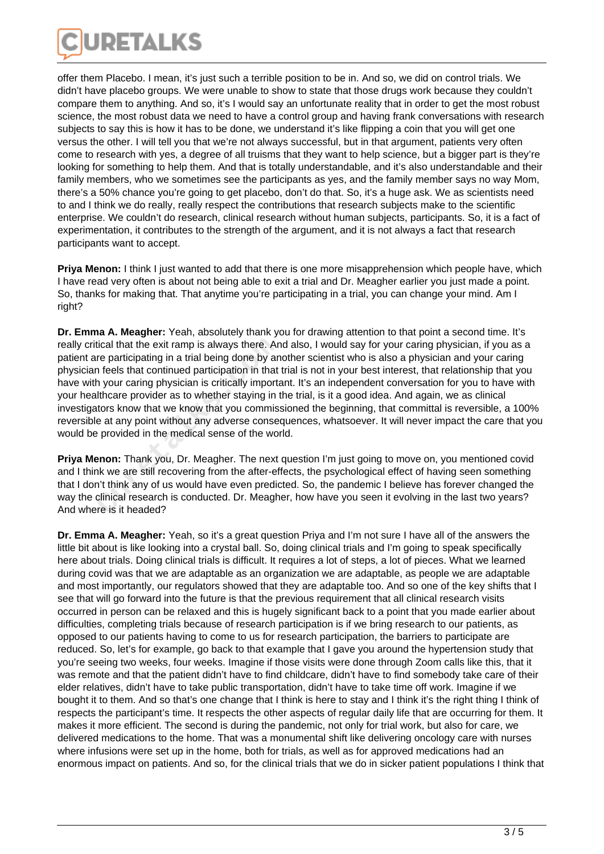

offer them Placebo. I mean, it's just such a terrible position to be in. And so, we did on control trials. We didn't have placebo groups. We were unable to show to state that those drugs work because they couldn't compare them to anything. And so, it's I would say an unfortunate reality that in order to get the most robust science, the most robust data we need to have a control group and having frank conversations with research subjects to say this is how it has to be done, we understand it's like flipping a coin that you will get one versus the other. I will tell you that we're not always successful, but in that argument, patients very often come to research with yes, a degree of all truisms that they want to help science, but a bigger part is they're looking for something to help them. And that is totally understandable, and it's also understandable and their family members, who we sometimes see the participants as yes, and the family member says no way Mom, there's a 50% chance you're going to get placebo, don't do that. So, it's a huge ask. We as scientists need to and I think we do really, really respect the contributions that research subjects make to the scientific enterprise. We couldn't do research, clinical research without human subjects, participants. So, it is a fact of experimentation, it contributes to the strength of the argument, and it is not always a fact that research participants want to accept.

**Priya Menon:** I think I just wanted to add that there is one more misapprehension which people have, which I have read very often is about not being able to exit a trial and Dr. Meagher earlier you just made a point. So, thanks for making that. That anytime you're participating in a trial, you can change your mind. Am I right?

**Dr. Emma A. Meagher:** Yeah, absolutely thank you for drawing attention to that point a second time. It's really critical that the exit ramp is always there. And also, I would say for your caring physician, if you as a patient are participating in a trial being done by another scientist who is also a physician and your caring physician feels that continued participation in that trial is not in your best interest, that relationship that you have with your caring physician is critically important. It's an independent conversation for you to have with your healthcare provider as to whether staying in the trial, is it a good idea. And again, we as clinical investigators know that we know that you commissioned the beginning, that committal is reversible, a 100% reversible at any point without any adverse consequences, whatsoever. It will never impact the care that you would be provided in the medical sense of the world. tical that the exit ramp is always there. Ar<br>re participating in a trial being done by an<br>n feels that continued participation in that<br>h your caring physician is critically importa<br>lithcare provider as to whether staying i

**Priya Menon:** Thank you, Dr. Meagher. The next question I'm just going to move on, you mentioned covid and I think we are still recovering from the after-effects, the psychological effect of having seen something that I don't think any of us would have even predicted. So, the pandemic I believe has forever changed the way the clinical research is conducted. Dr. Meagher, how have you seen it evolving in the last two years? And where is it headed?

**Dr. Emma A. Meagher:** Yeah, so it's a great question Priya and I'm not sure I have all of the answers the little bit about is like looking into a crystal ball. So, doing clinical trials and I'm going to speak specifically here about trials. Doing clinical trials is difficult. It requires a lot of steps, a lot of pieces. What we learned during covid was that we are adaptable as an organization we are adaptable, as people we are adaptable and most importantly, our regulators showed that they are adaptable too. And so one of the key shifts that I see that will go forward into the future is that the previous requirement that all clinical research visits occurred in person can be relaxed and this is hugely significant back to a point that you made earlier about difficulties, completing trials because of research participation is if we bring research to our patients, as opposed to our patients having to come to us for research participation, the barriers to participate are reduced. So, let's for example, go back to that example that I gave you around the hypertension study that you're seeing two weeks, four weeks. Imagine if those visits were done through Zoom calls like this, that it was remote and that the patient didn't have to find childcare, didn't have to find somebody take care of their elder relatives, didn't have to take public transportation, didn't have to take time off work. Imagine if we bought it to them. And so that's one change that I think is here to stay and I think it's the right thing I think of respects the participant's time. It respects the other aspects of regular daily life that are occurring for them. It makes it more efficient. The second is during the pandemic, not only for trial work, but also for care, we delivered medications to the home. That was a monumental shift like delivering oncology care with nurses where infusions were set up in the home, both for trials, as well as for approved medications had an enormous impact on patients. And so, for the clinical trials that we do in sicker patient populations I think that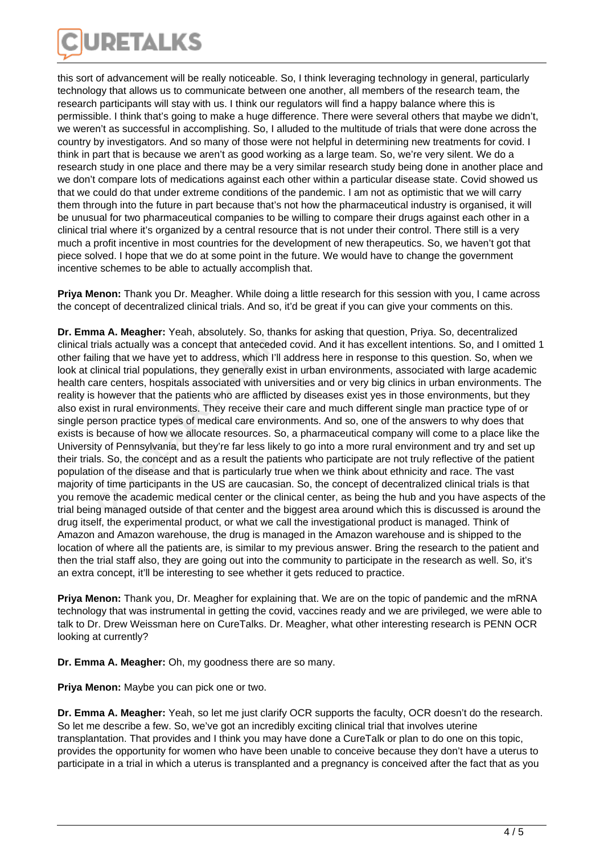

this sort of advancement will be really noticeable. So, I think leveraging technology in general, particularly technology that allows us to communicate between one another, all members of the research team, the research participants will stay with us. I think our regulators will find a happy balance where this is permissible. I think that's going to make a huge difference. There were several others that maybe we didn't, we weren't as successful in accomplishing. So, I alluded to the multitude of trials that were done across the country by investigators. And so many of those were not helpful in determining new treatments for covid. I think in part that is because we aren't as good working as a large team. So, we're very silent. We do a research study in one place and there may be a very similar research study being done in another place and we don't compare lots of medications against each other within a particular disease state. Covid showed us that we could do that under extreme conditions of the pandemic. I am not as optimistic that we will carry them through into the future in part because that's not how the pharmaceutical industry is organised, it will be unusual for two pharmaceutical companies to be willing to compare their drugs against each other in a clinical trial where it's organized by a central resource that is not under their control. There still is a very much a profit incentive in most countries for the development of new therapeutics. So, we haven't got that piece solved. I hope that we do at some point in the future. We would have to change the government incentive schemes to be able to actually accomplish that.

**Priya Menon:** Thank you Dr. Meagher. While doing a little research for this session with you, I came across the concept of decentralized clinical trials. And so, it'd be great if you can give your comments on this.

**Dr. Emma A. Meagher:** Yeah, absolutely. So, thanks for asking that question, Priya. So, decentralized clinical trials actually was a concept that anteceded covid. And it has excellent intentions. So, and I omitted 1 other failing that we have yet to address, which I'll address here in response to this question. So, when we look at clinical trial populations, they generally exist in urban environments, associated with large academic health care centers, hospitals associated with universities and or very big clinics in urban environments. The reality is however that the patients who are afflicted by diseases exist yes in those environments, but they also exist in rural environments. They receive their care and much different single man practice type of or single person practice types of medical care environments. And so, one of the answers to why does that exists is because of how we allocate resources. So, a pharmaceutical company will come to a place like the University of Pennsylvania, but they're far less likely to go into a more rural environment and try and set up their trials. So, the concept and as a result the patients who participate are not truly reflective of the patient population of the disease and that is particularly true when we think about ethnicity and race. The vast majority of time participants in the US are caucasian. So, the concept of decentralized clinical trials is that you remove the academic medical center or the clinical center, as being the hub and you have aspects of the trial being managed outside of that center and the biggest area around which this is discussed is around the drug itself, the experimental product, or what we call the investigational product is managed. Think of Amazon and Amazon warehouse, the drug is managed in the Amazon warehouse and is shipped to the location of where all the patients are, is similar to my previous answer. Bring the research to the patient and then the trial staff also, they are going out into the community to participate in the research as well. So, it's an extra concept, it'll be interesting to see whether it gets reduced to practice. rials actually was a concept that antecede<br>ling that we have yet to address, which I'll<br>linical trial populations, they generally exist<br>are centers, hospitals associated with univ<br>however that the patients who are afflicte

**Priya Menon:** Thank you, Dr. Meagher for explaining that. We are on the topic of pandemic and the mRNA technology that was instrumental in getting the covid, vaccines ready and we are privileged, we were able to talk to Dr. Drew Weissman here on CureTalks. Dr. Meagher, what other interesting research is PENN OCR looking at currently?

**Dr. Emma A. Meagher:** Oh, my goodness there are so many.

**Priya Menon:** Maybe you can pick one or two.

**Dr. Emma A. Meagher:** Yeah, so let me just clarify OCR supports the faculty, OCR doesn't do the research. So let me describe a few. So, we've got an incredibly exciting clinical trial that involves uterine transplantation. That provides and I think you may have done a CureTalk or plan to do one on this topic, provides the opportunity for women who have been unable to conceive because they don't have a uterus to participate in a trial in which a uterus is transplanted and a pregnancy is conceived after the fact that as you